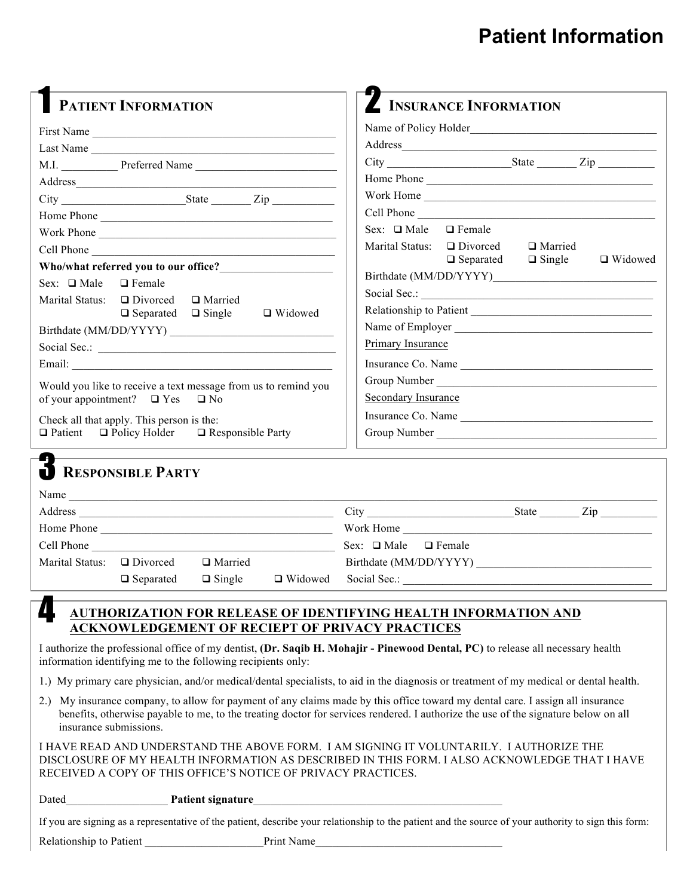## **Patient Information**

| <b>PATIENT INFORMATION</b>                                     | INSURANCE INFORMATION<br>Name of Policy Holder                 |  |  |
|----------------------------------------------------------------|----------------------------------------------------------------|--|--|
| First Name                                                     |                                                                |  |  |
| Last Name                                                      |                                                                |  |  |
| M.I. Preferred Name                                            |                                                                |  |  |
|                                                                |                                                                |  |  |
| $City$ $City$ $Right$ $Zip$                                    | Work Home                                                      |  |  |
|                                                                | Cell Phone                                                     |  |  |
| Work Phone                                                     | Sex: $\Box$ Male $\Box$ Female                                 |  |  |
| Cell Phone                                                     | Marital Status: $\Box$ Divorced<br>□ Married<br>$\Box$ Widowed |  |  |
| Who/what referred you to our office?                           | $\Box$ Separated<br>$\Box$ Single                              |  |  |
| Sex: $\Box$ Male<br>$\Box$ Female                              | Relationship to Patient<br>Primary Insurance                   |  |  |
| $\Box$ Divorced<br>Marital Status:<br>□ Married                |                                                                |  |  |
| $\Box$ Separated<br>$\Box$ Single<br>$\Box$ Widowed            |                                                                |  |  |
|                                                                |                                                                |  |  |
|                                                                |                                                                |  |  |
|                                                                | Insurance Co. Name                                             |  |  |
| Would you like to receive a text message from us to remind you |                                                                |  |  |
| of your appointment? $\Box$ Yes $\Box$ No                      | Secondary Insurance                                            |  |  |
| Check all that apply. This person is the:                      | Insurance Co. Name                                             |  |  |
| $\Box$ Patient $\Box$ Policy Holder $\Box$ Responsible Party   |                                                                |  |  |
| RESPONSIBLE PARTY                                              |                                                                |  |  |
|                                                                |                                                                |  |  |
|                                                                |                                                                |  |  |
|                                                                | Work Home                                                      |  |  |
| Cell Phone                                                     | Sex: $\Box$ Male $\Box$ Female                                 |  |  |
| Marital Status: $\Box$ Divorced<br>□ Married                   |                                                                |  |  |
| $\Box$ Single<br>$\Box$ Separated<br>$\Box$ Widowed            | Social Sec.:                                                   |  |  |

**AUTHORIZATION FOR RELEASE OF IDENTIFYING HEALTH INFORMATION AND ACKNOWLEDGEMENT OF RECIEPT OF PRIVACY PRACTICES**

I authorize the professional office of my dentist, **(Dr. Saqib H. Mohajir - Pinewood Dental, PC)** to release all necessary health information identifying me to the following recipients only:

1.) My primary care physician, and/or medical/dental specialists, to aid in the diagnosis or treatment of my medical or dental health.

2.) My insurance company, to allow for payment of any claims made by this office toward my dental care. I assign all insurance benefits, otherwise payable to me, to the treating doctor for services rendered. I authorize the use of the signature below on all insurance submissions.

I HAVE READ AND UNDERSTAND THE ABOVE FORM. I AM SIGNING IT VOLUNTARILY. I AUTHORIZE THE DISCLOSURE OF MY HEALTH INFORMATION AS DESCRIBED IN THIS FORM. I ALSO ACKNOWLEDGE THAT I HAVE RECEIVED A COPY OF THIS OFFICE'S NOTICE OF PRIVACY PRACTICES.

#### Dated **Patient signature**

If you are signing as a representative of the patient, describe your relationship to the patient and the source of your authority to sign this form:

Relationship to Patient The Print Name

4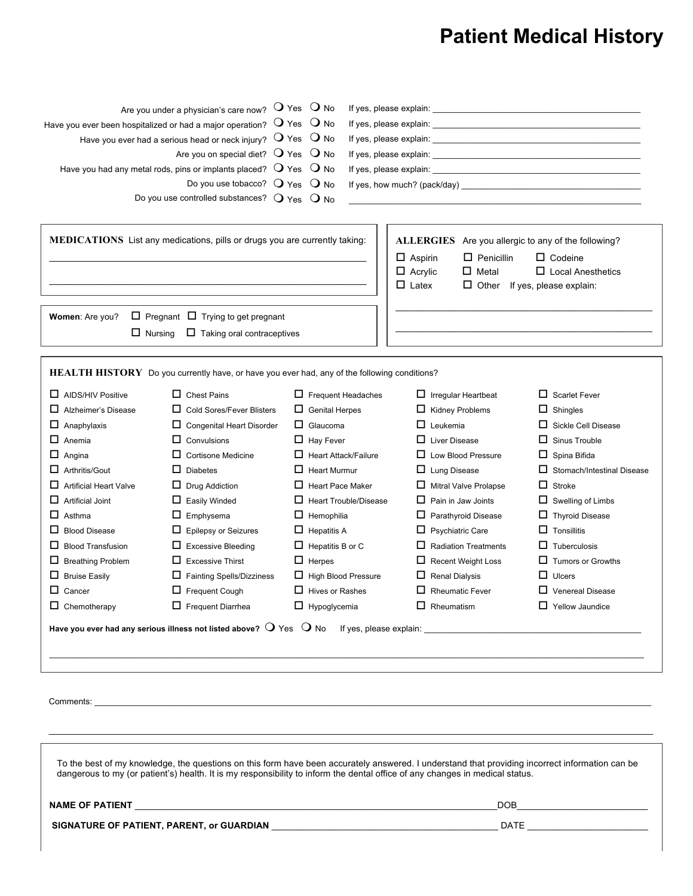## **Patient Medical History**

|                                                                                                                                                                                                                                                                                 | Are you under a physician's care now? $\bigcirc$ Yes $\bigcirc$ No                                                        |                                                                                                                                                                                                                                    |                              |                                   |
|---------------------------------------------------------------------------------------------------------------------------------------------------------------------------------------------------------------------------------------------------------------------------------|---------------------------------------------------------------------------------------------------------------------------|------------------------------------------------------------------------------------------------------------------------------------------------------------------------------------------------------------------------------------|------------------------------|-----------------------------------|
|                                                                                                                                                                                                                                                                                 | Have you ever been hospitalized or had a major operation? $\bigcirc$ Yes                                                  | $\bigcirc$ No                                                                                                                                                                                                                      |                              |                                   |
|                                                                                                                                                                                                                                                                                 | Have you ever had a serious head or neck injury? $\bigcirc$ Yes $\bigcirc$ No                                             |                                                                                                                                                                                                                                    |                              |                                   |
| Are you on special diet? $\bigcirc$ Yes $\bigcirc$ No                                                                                                                                                                                                                           |                                                                                                                           |                                                                                                                                                                                                                                    |                              |                                   |
|                                                                                                                                                                                                                                                                                 | Have you had any metal rods, pins or implants placed? $\bigcirc$ Yes                                                      | $\bigcirc$ No                                                                                                                                                                                                                      |                              |                                   |
|                                                                                                                                                                                                                                                                                 | Do you use tobacco? $Q$ Yes $Q$ No                                                                                        |                                                                                                                                                                                                                                    |                              |                                   |
|                                                                                                                                                                                                                                                                                 | Do you use controlled substances? $Q$ Yes                                                                                 | $\bigcirc$ No                                                                                                                                                                                                                      |                              |                                   |
|                                                                                                                                                                                                                                                                                 |                                                                                                                           |                                                                                                                                                                                                                                    |                              |                                   |
| MEDICATIONS List any medications, pills or drugs you are currently taking:                                                                                                                                                                                                      |                                                                                                                           | ALLERGIES Are you allergic to any of the following?<br>$\Box$ Aspirin<br>$\Box$ Penicillin<br>$\Box$ Codeine<br>$\Box$ Local Anesthetics<br>$\Box$ Acrylic<br>$\Box$ Metal<br>$\Box$ Latex<br>$\Box$ Other If yes, please explain: |                              |                                   |
| Women: Are you?                                                                                                                                                                                                                                                                 | $\Box$ Pregnant $\Box$ Trying to get pregnant                                                                             |                                                                                                                                                                                                                                    |                              |                                   |
|                                                                                                                                                                                                                                                                                 |                                                                                                                           |                                                                                                                                                                                                                                    |                              |                                   |
| $\Box$ Nursing                                                                                                                                                                                                                                                                  | $\Box$ Taking oral contraceptives                                                                                         |                                                                                                                                                                                                                                    |                              |                                   |
| $\Box$ AIDS/HIV Positive                                                                                                                                                                                                                                                        | <b>HEALTH HISTORY</b> Do you currently have, or have you ever had, any of the following conditions?<br>$\Box$ Chest Pains | $\Box$ Frequent Headaches                                                                                                                                                                                                          | $\Box$ Irregular Heartbeat   | $\Box$ Scarlet Fever              |
| $\Box$ Alzheimer's Disease                                                                                                                                                                                                                                                      | $\Box$ Cold Sores/Fever Blisters                                                                                          | $\Box$ Genital Herpes                                                                                                                                                                                                              | $\Box$ Kidney Problems       | $\Box$ Shingles                   |
| $\Box$ Anaphylaxis                                                                                                                                                                                                                                                              | $\Box$ Congenital Heart Disorder                                                                                          | $\Box$ Glaucoma                                                                                                                                                                                                                    | $\Box$ Leukemia              | $\Box$ Sickle Cell Disease        |
| $\Box$ Anemia                                                                                                                                                                                                                                                                   | $\Box$ Convulsions                                                                                                        | $\Box$ Hay Fever                                                                                                                                                                                                                   | $\Box$ Liver Disease         | $\Box$ Sinus Trouble              |
| $\Box$ Angina                                                                                                                                                                                                                                                                   | $\Box$ Cortisone Medicine                                                                                                 | $\Box$ Heart Attack/Failure                                                                                                                                                                                                        | $\Box$ Low Blood Pressure    | $\Box$ Spina Bifida               |
| $\Box$ Arthritis/Gout                                                                                                                                                                                                                                                           | $\Box$ Diabetes                                                                                                           | $\Box$ Heart Murmur                                                                                                                                                                                                                | $\Box$ Lung Disease          | $\Box$ Stomach/Intestinal Disease |
| $\Box$ Artificial Heart Valve                                                                                                                                                                                                                                                   | $\Box$ Drug Addiction                                                                                                     | $\Box$ Heart Pace Maker                                                                                                                                                                                                            | $\Box$ Mitral Valve Prolapse | $\Box$ Stroke                     |
| $\Box$ Artificial Joint                                                                                                                                                                                                                                                         | $\Box$ Easily Winded                                                                                                      | $\Box$ Heart Trouble/Disease                                                                                                                                                                                                       | $\Box$ Pain in Jaw Joints    | $\Box$ Swelling of Limbs          |
| $\Box$ Asthma                                                                                                                                                                                                                                                                   | $\Box$ Emphysema                                                                                                          | $\Box$ Hemophilia                                                                                                                                                                                                                  | $\Box$ Parathyroid Disease   | $\Box$ Thyroid Disease            |
| $\Box$ Blood Disease                                                                                                                                                                                                                                                            | $\Box$ Epilepsy or Seizures                                                                                               | $\Box$ Hepatitis A                                                                                                                                                                                                                 | $\Box$ Psychiatric Care      | $\Box$ Tonsillitis                |
| <b>Blood Transfusion</b><br>ப                                                                                                                                                                                                                                                   | $\Box$ Excessive Bleeding                                                                                                 | $\Box$ Hepatitis B or C                                                                                                                                                                                                            | $\Box$ Radiation Treatments  | $\Box$ Tuberculosis               |
| $\Box$ Breathing Problem                                                                                                                                                                                                                                                        | $\Box$ Excessive Thirst                                                                                                   | $\Box$ Herpes                                                                                                                                                                                                                      | Recent Weight Loss           | $\Box$ Tumors or Growths          |
| $\Box$ Bruise Easily                                                                                                                                                                                                                                                            | $\Box$ Fainting Spells/Dizziness                                                                                          | $\Box$ High Blood Pressure                                                                                                                                                                                                         | $\Box$ Renal Dialysis        | $\Box$ Ulcers                     |
| □.<br>Cancer                                                                                                                                                                                                                                                                    | $\Box$ Frequent Cough                                                                                                     | $\Box$ Hives or Rashes                                                                                                                                                                                                             | $\Box$ Rheumatic Fever       | Venereal Disease                  |
| $\Box$ Chemotherapy                                                                                                                                                                                                                                                             | $\Box$ Frequent Diarrhea                                                                                                  | $\Box$ Hypoglycemia                                                                                                                                                                                                                | $\Box$ Rheumatism            | $\Box$ Yellow Jaundice            |
|                                                                                                                                                                                                                                                                                 |                                                                                                                           |                                                                                                                                                                                                                                    |                              |                                   |
|                                                                                                                                                                                                                                                                                 | Have you ever had any serious illness not listed above? $\bigcirc$ Yes $\bigcirc$ No                                      |                                                                                                                                                                                                                                    |                              |                                   |
|                                                                                                                                                                                                                                                                                 |                                                                                                                           |                                                                                                                                                                                                                                    |                              |                                   |
| To the best of my knowledge, the questions on this form have been accurately answered. I understand that providing incorrect information can be<br>dangerous to my (or patient's) health. It is my responsibility to inform the dental office of any changes in medical status. |                                                                                                                           |                                                                                                                                                                                                                                    |                              |                                   |
|                                                                                                                                                                                                                                                                                 |                                                                                                                           |                                                                                                                                                                                                                                    |                              |                                   |
|                                                                                                                                                                                                                                                                                 |                                                                                                                           |                                                                                                                                                                                                                                    |                              |                                   |
|                                                                                                                                                                                                                                                                                 |                                                                                                                           |                                                                                                                                                                                                                                    |                              |                                   |
|                                                                                                                                                                                                                                                                                 |                                                                                                                           |                                                                                                                                                                                                                                    |                              |                                   |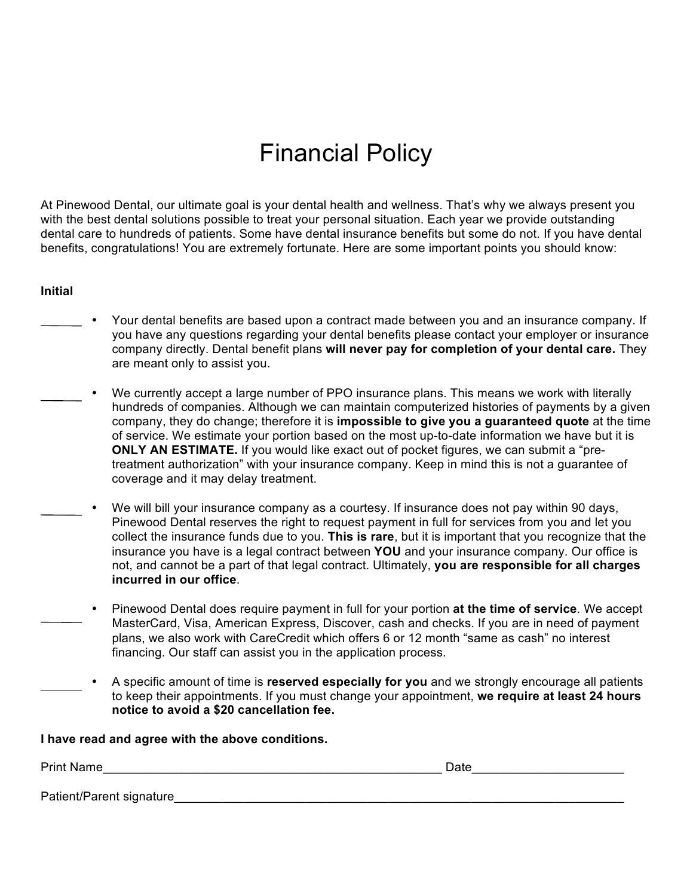# Financial Policy

At Pinewood Dental, our ultimate goal is your dental health and wellness. That's why we always present you with the best dental solutions possible to treat your personal situation. Each year we provide outstanding dental care to hundreds of patients. Some have dental insurance benefits but some do not. If you have dental benefits, congratulations! You are extremely fortunate. Here are some important points you should know:

#### **Initial**

- Your dental benefits are based upon a contract made between you and an insurance company. If you have any questions regarding your dental benefits please contact your employer or insurance company directly. Dental benefit plans **will never pay for completion of your dental care.** They are meant only to assist you.
- We currently accept a large number of PPO insurance plans. This means we work with literally hundreds of companies. Although we can maintain computerized histories of payments by a given company, they do change; therefore it is **impossible to give you a guaranteed quote** at the time of service. We estimate your portion based on the most up-to-date information we have but it is **ONLY AN ESTIMATE.** If you would like exact out of pocket figures, we can submit a "pretreatment authorization" with your insurance company. Keep in mind this is not a guarantee of coverage and it may delay treatment.
	- We will bill your insurance company as a courtesy. If insurance does not pay within 90 days, Pinewood Dental reserves the right to request payment in full for services from you and let you collect the insurance funds due to you. **This is rare**, but it is important that you recognize that the insurance you have is a legal contract between **YOU** and your insurance company. Our office is not, and cannot be a part of that legal contract. Ultimately, **you are responsible for all charges incurred in our office**.
		- Pinewood Dental does require payment in full for your portion **at the time of service**. We accept MasterCard, Visa, American Express, Discover, cash and checks. If you are in need of payment plans, we also work with CareCredit which offers 6 or 12 month "same as cash" no interest financing. Our staff can assist you in the application process.
		- A specific amount of time is **reserved especially for you** and we strongly encourage all patients to keep their appointments. If you must change your appointment, **we require at least 24 hours notice to avoid a \$20 cancellation fee.**

#### **I have read and agree with the above conditions.**

| <b>Print Name</b>         | Date |
|---------------------------|------|
|                           |      |
| Patient/Parent signature_ |      |